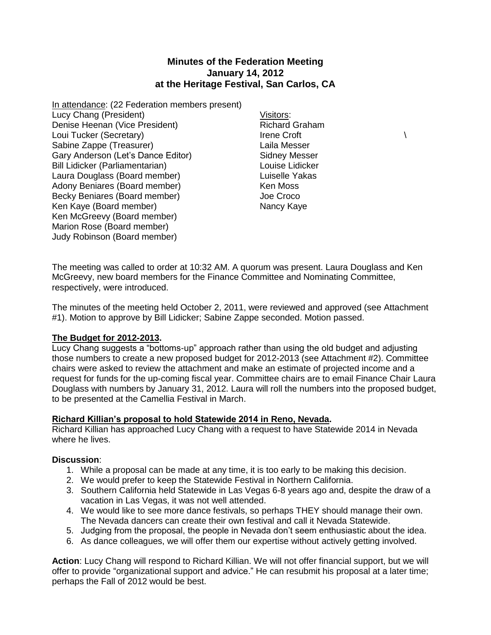# **Minutes of the Federation Meeting January 14, 2012 at the Heritage Festival, San Carlos, CA**

- In attendance: (22 Federation members present) Lucy Chang (President) Denise Heenan (Vice President) Loui Tucker (Secretary) Sabine Zappe (Treasurer) Gary Anderson (Let's Dance Editor) Bill Lidicker (Parliamentarian) Laura Douglass (Board member) Adony Beniares (Board member) Becky Beniares (Board member) Ken Kaye (Board member) Ken McGreevy (Board member) Marion Rose (Board member) Judy Robinson (Board member)
- Visitors: Richard Graham Irene Croft  $\qquad \qquad \backslash$ Laila Messer Sidney Messer Louise Lidicker Luiselle Yakas Ken Moss Joe Croco Nancy Kaye

The meeting was called to order at 10:32 AM. A quorum was present. Laura Douglass and Ken McGreevy, new board members for the Finance Committee and Nominating Committee, respectively, were introduced.

The minutes of the meeting held October 2, 2011, were reviewed and approved (see Attachment #1). Motion to approve by Bill Lidicker; Sabine Zappe seconded. Motion passed.

### **The Budget for 2012-2013.**

Lucy Chang suggests a "bottoms-up" approach rather than using the old budget and adjusting those numbers to create a new proposed budget for 2012-2013 (see Attachment #2). Committee chairs were asked to review the attachment and make an estimate of projected income and a request for funds for the up-coming fiscal year. Committee chairs are to email Finance Chair Laura Douglass with numbers by January 31, 2012. Laura will roll the numbers into the proposed budget, to be presented at the Camellia Festival in March.

### **Richard Killian's proposal to hold Statewide 2014 in Reno, Nevada.**

Richard Killian has approached Lucy Chang with a request to have Statewide 2014 in Nevada where he lives.

### **Discussion**:

- 1. While a proposal can be made at any time, it is too early to be making this decision.
- 2. We would prefer to keep the Statewide Festival in Northern California.
- 3. Southern California held Statewide in Las Vegas 6-8 years ago and, despite the draw of a vacation in Las Vegas, it was not well attended.
- 4. We would like to see more dance festivals, so perhaps THEY should manage their own. The Nevada dancers can create their own festival and call it Nevada Statewide.
- 5. Judging from the proposal, the people in Nevada don't seem enthusiastic about the idea.
- 6. As dance colleagues, we will offer them our expertise without actively getting involved.

**Action**: Lucy Chang will respond to Richard Killian. We will not offer financial support, but we will offer to provide "organizational support and advice." He can resubmit his proposal at a later time; perhaps the Fall of 2012 would be best.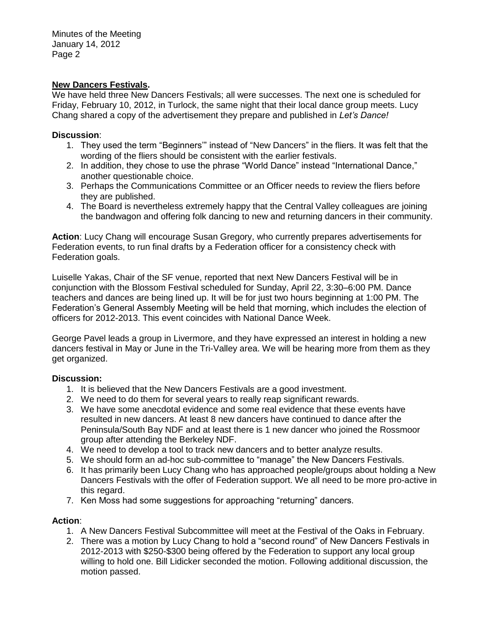### **New Dancers Festivals.**

We have held three New Dancers Festivals; all were successes. The next one is scheduled for Friday, February 10, 2012, in Turlock, the same night that their local dance group meets. Lucy Chang shared a copy of the advertisement they prepare and published in *Let's Dance!* 

### **Discussion**:

- 1. They used the term "Beginners'" instead of "New Dancers" in the fliers. It was felt that the wording of the fliers should be consistent with the earlier festivals.
- 2. In addition, they chose to use the phrase "World Dance" instead "International Dance," another questionable choice.
- 3. Perhaps the Communications Committee or an Officer needs to review the fliers before they are published.
- 4. The Board is nevertheless extremely happy that the Central Valley colleagues are joining the bandwagon and offering folk dancing to new and returning dancers in their community.

**Action**: Lucy Chang will encourage Susan Gregory, who currently prepares advertisements for Federation events, to run final drafts by a Federation officer for a consistency check with Federation goals.

Luiselle Yakas, Chair of the SF venue, reported that next New Dancers Festival will be in conjunction with the Blossom Festival scheduled for Sunday, April 22, 3:30–6:00 PM. Dance teachers and dances are being lined up. It will be for just two hours beginning at 1:00 PM. The Federation's General Assembly Meeting will be held that morning, which includes the election of officers for 2012-2013. This event coincides with National Dance Week.

George Pavel leads a group in Livermore, and they have expressed an interest in holding a new dancers festival in May or June in the Tri-Valley area. We will be hearing more from them as they get organized.

## **Discussion:**

- 1. It is believed that the New Dancers Festivals are a good investment.
- 2. We need to do them for several years to really reap significant rewards.
- 3. We have some anecdotal evidence and some real evidence that these events have resulted in new dancers. At least 8 new dancers have continued to dance after the Peninsula/South Bay NDF and at least there is 1 new dancer who joined the Rossmoor group after attending the Berkeley NDF.
- 4. We need to develop a tool to track new dancers and to better analyze results.
- 5. We should form an ad-hoc sub-committee to "manage" the New Dancers Festivals.
- 6. It has primarily been Lucy Chang who has approached people/groups about holding a New Dancers Festivals with the offer of Federation support. We all need to be more pro-active in this regard.
- 7. Ken Moss had some suggestions for approaching "returning" dancers.

## **Action**:

- 1. A New Dancers Festival Subcommittee will meet at the Festival of the Oaks in February.
- 2. There was a motion by Lucy Chang to hold a "second round" of New Dancers Festivals in 2012-2013 with \$250-\$300 being offered by the Federation to support any local group willing to hold one. Bill Lidicker seconded the motion. Following additional discussion, the motion passed.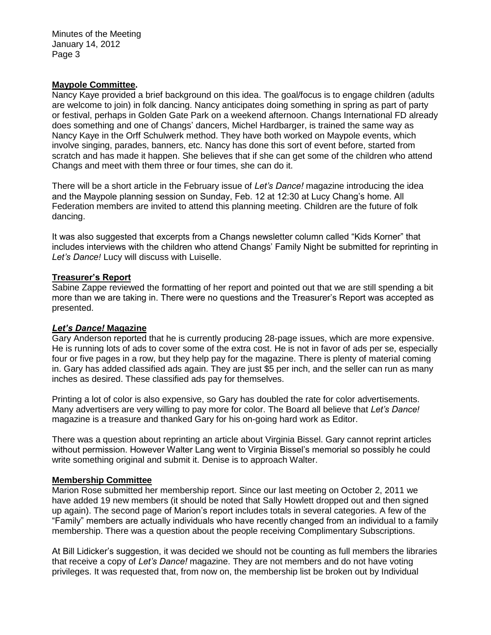### **Maypole Committee.**

Nancy Kaye provided a brief background on this idea. The goal/focus is to engage children (adults are welcome to join) in folk dancing. Nancy anticipates doing something in spring as part of party or festival, perhaps in Golden Gate Park on a weekend afternoon. Changs International FD already does something and one of Changs' dancers, Michel Hardbarger, is trained the same way as Nancy Kaye in the Orff Schulwerk method. They have both worked on Maypole events, which involve singing, parades, banners, etc. Nancy has done this sort of event before, started from scratch and has made it happen. She believes that if she can get some of the children who attend Changs and meet with them three or four times, she can do it.

There will be a short article in the February issue of *Let's Dance!* magazine introducing the idea and the Maypole planning session on Sunday, Feb. 12 at 12:30 at Lucy Chang's home. All Federation members are invited to attend this planning meeting. Children are the future of folk dancing.

It was also suggested that excerpts from a Changs newsletter column called "Kids Korner" that includes interviews with the children who attend Changs' Family Night be submitted for reprinting in *Let's Dance!* Lucy will discuss with Luiselle.

### **Treasurer's Report**

Sabine Zappe reviewed the formatting of her report and pointed out that we are still spending a bit more than we are taking in. There were no questions and the Treasurer's Report was accepted as presented.

### *Let's Dance!* **Magazine**

Gary Anderson reported that he is currently producing 28-page issues, which are more expensive. He is running lots of ads to cover some of the extra cost. He is not in favor of ads per se, especially four or five pages in a row, but they help pay for the magazine. There is plenty of material coming in. Gary has added classified ads again. They are just \$5 per inch, and the seller can run as many inches as desired. These classified ads pay for themselves.

Printing a lot of color is also expensive, so Gary has doubled the rate for color advertisements. Many advertisers are very willing to pay more for color. The Board all believe that *Let's Dance!* magazine is a treasure and thanked Gary for his on-going hard work as Editor.

There was a question about reprinting an article about Virginia Bissel. Gary cannot reprint articles without permission. However Walter Lang went to Virginia Bissel's memorial so possibly he could write something original and submit it. Denise is to approach Walter.

### **Membership Committee**

Marion Rose submitted her membership report. Since our last meeting on October 2, 2011 we have added 19 new members (it should be noted that Sally Howlett dropped out and then signed up again). The second page of Marion's report includes totals in several categories. A few of the "Family" members are actually individuals who have recently changed from an individual to a family membership. There was a question about the people receiving Complimentary Subscriptions.

At Bill Lidicker's suggestion, it was decided we should not be counting as full members the libraries that receive a copy of *Let's Dance!* magazine. They are not members and do not have voting privileges. It was requested that, from now on, the membership list be broken out by Individual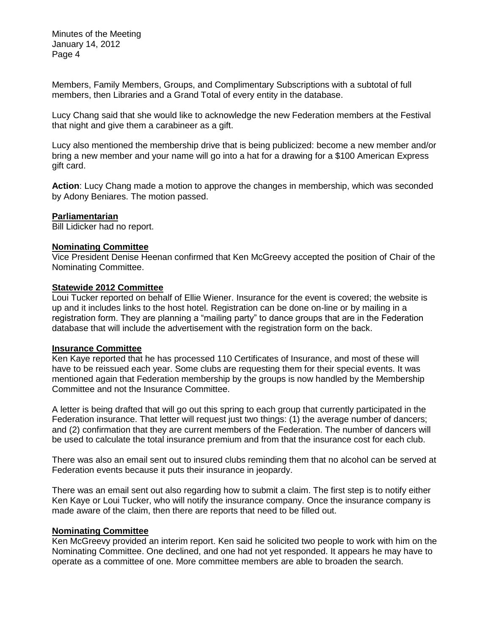Members, Family Members, Groups, and Complimentary Subscriptions with a subtotal of full members, then Libraries and a Grand Total of every entity in the database.

Lucy Chang said that she would like to acknowledge the new Federation members at the Festival that night and give them a carabineer as a gift.

Lucy also mentioned the membership drive that is being publicized: become a new member and/or bring a new member and your name will go into a hat for a drawing for a \$100 American Express gift card.

**Action**: Lucy Chang made a motion to approve the changes in membership, which was seconded by Adony Beniares. The motion passed.

### **Parliamentarian**

Bill Lidicker had no report.

#### **Nominating Committee**

Vice President Denise Heenan confirmed that Ken McGreevy accepted the position of Chair of the Nominating Committee.

#### **Statewide 2012 Committee**

Loui Tucker reported on behalf of Ellie Wiener. Insurance for the event is covered; the website is up and it includes links to the host hotel. Registration can be done on-line or by mailing in a registration form. They are planning a "mailing party" to dance groups that are in the Federation database that will include the advertisement with the registration form on the back.

#### **Insurance Committee**

Ken Kaye reported that he has processed 110 Certificates of Insurance, and most of these will have to be reissued each year. Some clubs are requesting them for their special events. It was mentioned again that Federation membership by the groups is now handled by the Membership Committee and not the Insurance Committee.

A letter is being drafted that will go out this spring to each group that currently participated in the Federation insurance. That letter will request just two things: (1) the average number of dancers; and (2) confirmation that they are current members of the Federation. The number of dancers will be used to calculate the total insurance premium and from that the insurance cost for each club.

There was also an email sent out to insured clubs reminding them that no alcohol can be served at Federation events because it puts their insurance in jeopardy.

There was an email sent out also regarding how to submit a claim. The first step is to notify either Ken Kaye or Loui Tucker, who will notify the insurance company. Once the insurance company is made aware of the claim, then there are reports that need to be filled out.

#### **Nominating Committee**

Ken McGreevy provided an interim report. Ken said he solicited two people to work with him on the Nominating Committee. One declined, and one had not yet responded. It appears he may have to operate as a committee of one. More committee members are able to broaden the search.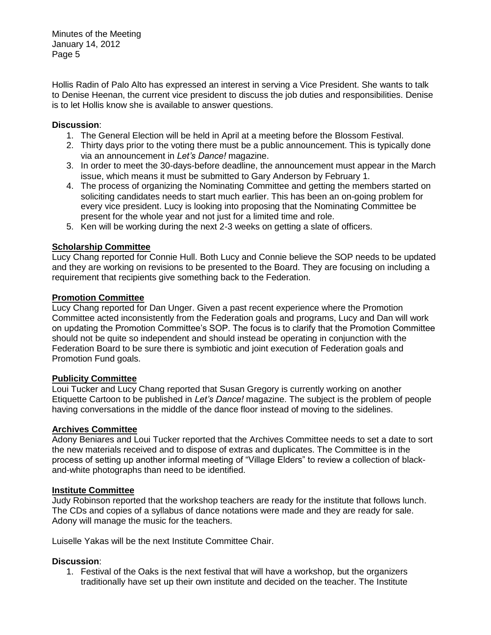Hollis Radin of Palo Alto has expressed an interest in serving a Vice President. She wants to talk to Denise Heenan, the current vice president to discuss the job duties and responsibilities. Denise is to let Hollis know she is available to answer questions.

## **Discussion**:

- 1. The General Election will be held in April at a meeting before the Blossom Festival.
- 2. Thirty days prior to the voting there must be a public announcement. This is typically done via an announcement in *Let's Dance!* magazine.
- 3. In order to meet the 30-days-before deadline, the announcement must appear in the March issue, which means it must be submitted to Gary Anderson by February 1.
- 4. The process of organizing the Nominating Committee and getting the members started on soliciting candidates needs to start much earlier. This has been an on-going problem for every vice president. Lucy is looking into proposing that the Nominating Committee be present for the whole year and not just for a limited time and role.
- 5. Ken will be working during the next 2-3 weeks on getting a slate of officers.

# **Scholarship Committee**

Lucy Chang reported for Connie Hull. Both Lucy and Connie believe the SOP needs to be updated and they are working on revisions to be presented to the Board. They are focusing on including a requirement that recipients give something back to the Federation.

## **Promotion Committee**

Lucy Chang reported for Dan Unger. Given a past recent experience where the Promotion Committee acted inconsistently from the Federation goals and programs, Lucy and Dan will work on updating the Promotion Committee's SOP. The focus is to clarify that the Promotion Committee should not be quite so independent and should instead be operating in conjunction with the Federation Board to be sure there is symbiotic and joint execution of Federation goals and Promotion Fund goals.

# **Publicity Committee**

Loui Tucker and Lucy Chang reported that Susan Gregory is currently working on another Etiquette Cartoon to be published in *Let's Dance!* magazine. The subject is the problem of people having conversations in the middle of the dance floor instead of moving to the sidelines.

## **Archives Committee**

Adony Beniares and Loui Tucker reported that the Archives Committee needs to set a date to sort the new materials received and to dispose of extras and duplicates. The Committee is in the process of setting up another informal meeting of "Village Elders" to review a collection of blackand-white photographs than need to be identified.

## **Institute Committee**

Judy Robinson reported that the workshop teachers are ready for the institute that follows lunch. The CDs and copies of a syllabus of dance notations were made and they are ready for sale. Adony will manage the music for the teachers.

Luiselle Yakas will be the next Institute Committee Chair.

## **Discussion**:

1. Festival of the Oaks is the next festival that will have a workshop, but the organizers traditionally have set up their own institute and decided on the teacher. The Institute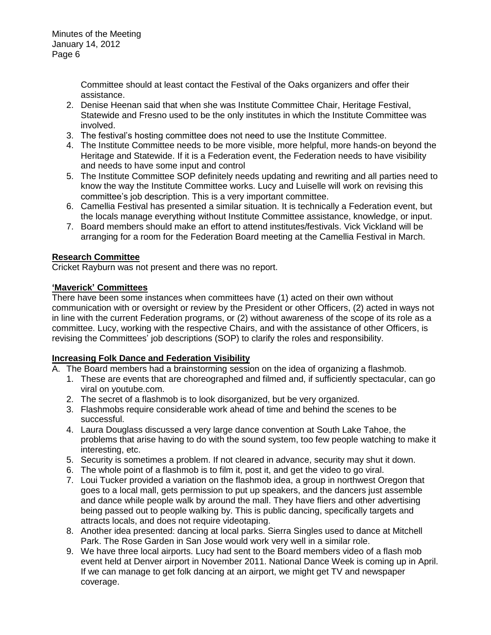> Committee should at least contact the Festival of the Oaks organizers and offer their assistance.

- 2. Denise Heenan said that when she was Institute Committee Chair, Heritage Festival, Statewide and Fresno used to be the only institutes in which the Institute Committee was involved.
- 3. The festival's hosting committee does not need to use the Institute Committee.
- 4. The Institute Committee needs to be more visible, more helpful, more hands-on beyond the Heritage and Statewide. If it is a Federation event, the Federation needs to have visibility and needs to have some input and control
- 5. The Institute Committee SOP definitely needs updating and rewriting and all parties need to know the way the Institute Committee works. Lucy and Luiselle will work on revising this committee's job description. This is a very important committee.
- 6. Camellia Festival has presented a similar situation. It is technically a Federation event, but the locals manage everything without Institute Committee assistance, knowledge, or input.
- 7. Board members should make an effort to attend institutes/festivals. Vick Vickland will be arranging for a room for the Federation Board meeting at the Camellia Festival in March.

## **Research Committee**

Cricket Rayburn was not present and there was no report.

## **'Maverick' Committees**

There have been some instances when committees have (1) acted on their own without communication with or oversight or review by the President or other Officers, (2) acted in ways not in line with the current Federation programs, or (2) without awareness of the scope of its role as a committee. Lucy, working with the respective Chairs, and with the assistance of other Officers, is revising the Committees' job descriptions (SOP) to clarify the roles and responsibility.

## **Increasing Folk Dance and Federation Visibility**

- A. The Board members had a brainstorming session on the idea of organizing a flashmob.
	- 1. These are events that are choreographed and filmed and, if sufficiently spectacular, can go viral on youtube.com.
	- 2. The secret of a flashmob is to look disorganized, but be very organized.
	- 3. Flashmobs require considerable work ahead of time and behind the scenes to be successful.
	- 4. Laura Douglass discussed a very large dance convention at South Lake Tahoe, the problems that arise having to do with the sound system, too few people watching to make it interesting, etc.
	- 5. Security is sometimes a problem. If not cleared in advance, security may shut it down.
	- 6. The whole point of a flashmob is to film it, post it, and get the video to go viral.
	- 7. Loui Tucker provided a variation on the flashmob idea, a group in northwest Oregon that goes to a local mall, gets permission to put up speakers, and the dancers just assemble and dance while people walk by around the mall. They have fliers and other advertising being passed out to people walking by. This is public dancing, specifically targets and attracts locals, and does not require videotaping.
	- 8. Another idea presented: dancing at local parks. Sierra Singles used to dance at Mitchell Park. The Rose Garden in San Jose would work very well in a similar role.
	- 9. We have three local airports. Lucy had sent to the Board members video of a flash mob event held at Denver airport in November 2011. National Dance Week is coming up in April. If we can manage to get folk dancing at an airport, we might get TV and newspaper coverage.